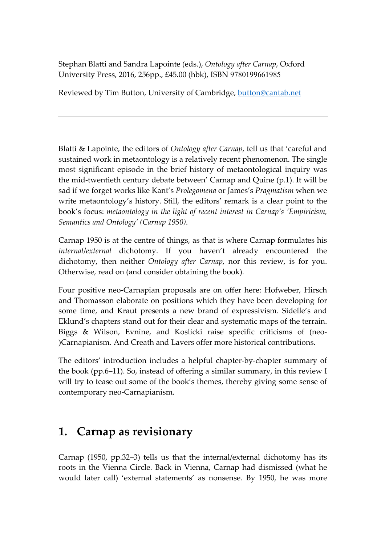Stephan Blatti and Sandra Lapointe (eds.), *Ontology after Carnap*, Oxford University Press, 2016, 256pp., £45.00 (hbk), ISBN 9780199661985

Reviewed by Tim Button, University of Cambridge, button@cantab.net

Blatti & Lapointe, the editors of *Ontology after Carnap*, tell us that 'careful and sustained work in metaontology is a relatively recent phenomenon. The single most significant episode in the brief history of metaontological inquiry was the mid-twentieth century debate between' Carnap and Quine (p.1). It will be sad if we forget works like Kant's *Prolegomena* or James's *Pragmatism* when we write metaontology's history. Still, the editors' remark is a clear point to the book's focus: *metaontology in the light of recent interest in Carnap's 'Empiricism, Semantics and Ontology' (Carnap 1950)*.

Carnap 1950 is at the centre of things, as that is where Carnap formulates his *internal*/*external* dichotomy. If you haven't already encountered the dichotomy, then neither *Ontology after Carnap*, nor this review, is for you. Otherwise, read on (and consider obtaining the book).

Four positive neo-Carnapian proposals are on offer here: Hofweber, Hirsch and Thomasson elaborate on positions which they have been developing for some time, and Kraut presents a new brand of expressivism. Sidelle's and Eklund's chapters stand out for their clear and systematic maps of the terrain. Biggs & Wilson, Evnine, and Koslicki raise specific criticisms of (neo- )Carnapianism. And Creath and Lavers offer more historical contributions.

The editors' introduction includes a helpful chapter-by-chapter summary of the book (pp.6–11). So, instead of offering a similar summary, in this review I will try to tease out some of the book's themes, thereby giving some sense of contemporary neo-Carnapianism.

# **1. Carnap as revisionary**

Carnap (1950, pp.32–3) tells us that the internal/external dichotomy has its roots in the Vienna Circle. Back in Vienna, Carnap had dismissed (what he would later call) 'external statements' as nonsense. By 1950, he was more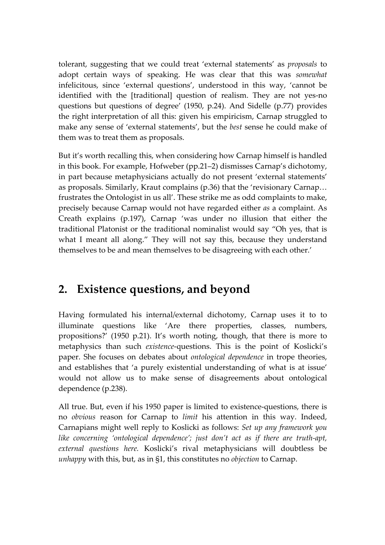tolerant, suggesting that we could treat 'external statements' as *proposals* to adopt certain ways of speaking. He was clear that this was *somewhat* infelicitous, since 'external questions', understood in this way, 'cannot be identified with the [traditional] question of realism. They are not yes-no questions but questions of degree' (1950, p.24). And Sidelle (p.77) provides the right interpretation of all this: given his empiricism, Carnap struggled to make any sense of 'external statements', but the *best* sense he could make of them was to treat them as proposals.

But it's worth recalling this, when considering how Carnap himself is handled in this book. For example, Hofweber (pp.21–2) dismisses Carnap's dichotomy, in part because metaphysicians actually do not present 'external statements' as proposals. Similarly, Kraut complains (p.36) that the 'revisionary Carnap… frustrates the Ontologist in us all'. These strike me as odd complaints to make, precisely because Carnap would not have regarded either *as* a complaint. As Creath explains (p.197), Carnap 'was under no illusion that either the traditional Platonist or the traditional nominalist would say "Oh yes, that is what I meant all along." They will not say this, because they understand themselves to be and mean themselves to be disagreeing with each other.'

### **2. Existence questions, and beyond**

Having formulated his internal/external dichotomy, Carnap uses it to to illuminate questions like 'Are there properties, classes, numbers, propositions?' (1950 p.21). It's worth noting, though, that there is more to metaphysics than such *existence*-questions. This is the point of Koslicki's paper. She focuses on debates about *ontological dependence* in trope theories, and establishes that 'a purely existential understanding of what is at issue' would not allow us to make sense of disagreements about ontological dependence (p.238).

All true. But, even if his 1950 paper is limited to existence-questions, there is no *obvious* reason for Carnap to *limit* his attention in this way. Indeed, Carnapians might well reply to Koslicki as follows: *Set up any framework you like concerning 'ontological dependence'; just don't act as if there are truth-apt, external questions here.* Koslicki's rival metaphysicians will doubtless be *unhappy* with this, but, as in §1, this constitutes no *objection* to Carnap.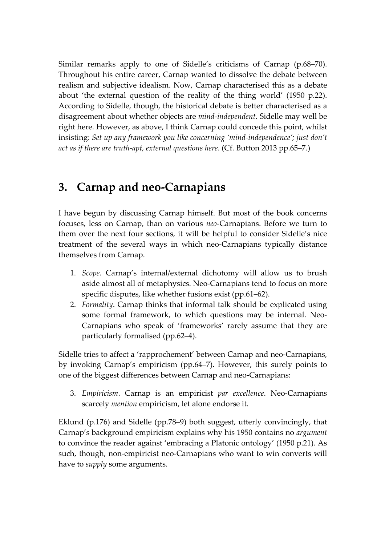Similar remarks apply to one of Sidelle's criticisms of Carnap (p.68–70). Throughout his entire career, Carnap wanted to dissolve the debate between realism and subjective idealism. Now, Carnap characterised this as a debate about 'the external question of the reality of the thing world' (1950 p.22). According to Sidelle, though, the historical debate is better characterised as a disagreement about whether objects are *mind-independent*. Sidelle may well be right here. However, as above, I think Carnap could concede this point, whilst insisting: *Set up any framework you like concerning 'mind-independence'; just don't act as if there are truth-apt, external questions here*. (Cf. Button 2013 pp.65–7.)

### **3. Carnap and neo-Carnapians**

I have begun by discussing Carnap himself. But most of the book concerns focuses, less on Carnap, than on various *neo*-Carnapians. Before we turn to them over the next four sections, it will be helpful to consider Sidelle's nice treatment of the several ways in which neo-Carnapians typically distance themselves from Carnap.

- 1. *Scope*. Carnap's internal/external dichotomy will allow us to brush aside almost all of metaphysics. Neo-Carnapians tend to focus on more specific disputes, like whether fusions exist (pp.61–62).
- 2. *Formality*. Carnap thinks that informal talk should be explicated using some formal framework, to which questions may be internal. Neo-Carnapians who speak of 'frameworks' rarely assume that they are particularly formalised (pp.62–4).

Sidelle tries to affect a 'rapprochement' between Carnap and neo-Carnapians, by invoking Carnap's empiricism (pp.64–7). However, this surely points to one of the biggest differences between Carnap and neo-Carnapians:

3. *Empiricism*. Carnap is an empiricist *par excellence*. Neo-Carnapians scarcely *mention* empiricism, let alone endorse it.

Eklund (p.176) and Sidelle (pp.78–9) both suggest, utterly convincingly, that Carnap's background empiricism explains why his 1950 contains no *argument* to convince the reader against 'embracing a Platonic ontology' (1950 p.21). As such, though, non-empiricist neo-Carnapians who want to win converts will have to *supply* some arguments.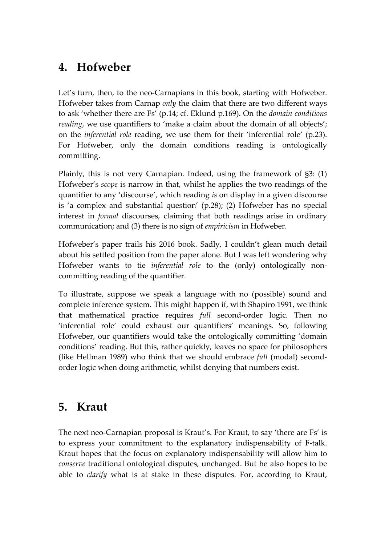### **4. Hofweber**

Let's turn, then, to the neo-Carnapians in this book, starting with Hofweber. Hofweber takes from Carnap *only* the claim that there are two different ways to ask 'whether there are Fs' (p.14; cf. Eklund p.169). On the *domain conditions reading*, we use quantifiers to 'make a claim about the domain of all objects'; on the *inferential role* reading, we use them for their 'inferential role' (p.23). For Hofweber, only the domain conditions reading is ontologically committing.

Plainly, this is not very Carnapian. Indeed, using the framework of §3: (1) Hofweber's *scope* is narrow in that, whilst he applies the two readings of the quantifier to any 'discourse', which reading *is* on display in a given discourse is 'a complex and substantial question' (p.28); (2) Hofweber has no special interest in *formal* discourses, claiming that both readings arise in ordinary communication; and (3) there is no sign of *empiricism* in Hofweber.

Hofweber's paper trails his 2016 book. Sadly, I couldn't glean much detail about his settled position from the paper alone. But I was left wondering why Hofweber wants to tie *inferential role* to the (only) ontologically noncommitting reading of the quantifier.

To illustrate, suppose we speak a language with no (possible) sound and complete inference system. This might happen if, with Shapiro 1991, we think that mathematical practice requires *full* second-order logic. Then no 'inferential role' could exhaust our quantifiers' meanings. So, following Hofweber, our quantifiers would take the ontologically committing 'domain conditions' reading. But this, rather quickly, leaves no space for philosophers (like Hellman 1989) who think that we should embrace *full* (modal) secondorder logic when doing arithmetic, whilst denying that numbers exist.

## **5. Kraut**

The next neo-Carnapian proposal is Kraut's. For Kraut, to say 'there are Fs' is to express your commitment to the explanatory indispensability of F-talk. Kraut hopes that the focus on explanatory indispensability will allow him to *conserve* traditional ontological disputes, unchanged. But he also hopes to be able to *clarify* what is at stake in these disputes. For, according to Kraut,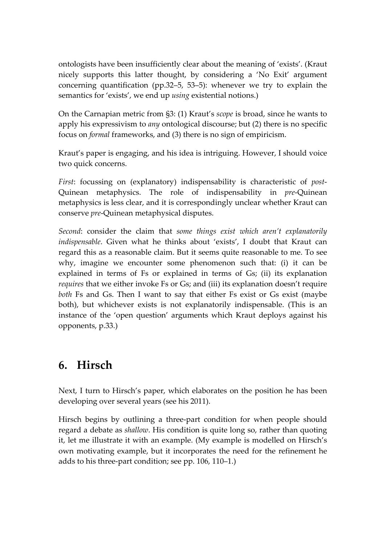ontologists have been insufficiently clear about the meaning of 'exists'. (Kraut nicely supports this latter thought, by considering a 'No Exit' argument concerning quantification (pp.32–5, 53–5): whenever we try to explain the semantics for 'exists', we end up *using* existential notions.)

On the Carnapian metric from §3: (1) Kraut's *scope* is broad, since he wants to apply his expressivism to *any* ontological discourse; but (2) there is no specific focus on *formal* frameworks, and (3) there is no sign of empiricism.

Kraut's paper is engaging, and his idea is intriguing. However, I should voice two quick concerns.

*First*: focussing on (explanatory) indispensability is characteristic of *post*-Quinean metaphysics. The role of indispensability in *pre*-Quinean metaphysics is less clear, and it is correspondingly unclear whether Kraut can conserve *pre*-Quinean metaphysical disputes.

*Second*: consider the claim that *some things exist which aren't explanatorily indispensable*. Given what he thinks about 'exists', I doubt that Kraut can regard this as a reasonable claim. But it seems quite reasonable to me. To see why, imagine we encounter some phenomenon such that: (i) it can be explained in terms of Fs or explained in terms of Gs; (ii) its explanation *requires* that we either invoke Fs or Gs; and (iii) its explanation doesn't require *both* Fs and Gs. Then I want to say that either Fs exist or Gs exist (maybe both), but whichever exists is not explanatorily indispensable. (This is an instance of the 'open question' arguments which Kraut deploys against his opponents, p.33.)

#### **6. Hirsch**

Next, I turn to Hirsch's paper, which elaborates on the position he has been developing over several years (see his 2011).

Hirsch begins by outlining a three-part condition for when people should regard a debate as *shallow*. His condition is quite long so, rather than quoting it, let me illustrate it with an example. (My example is modelled on Hirsch's own motivating example, but it incorporates the need for the refinement he adds to his three-part condition; see pp. 106, 110–1.)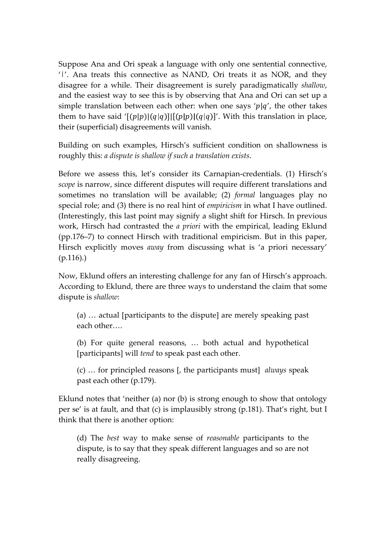Suppose Ana and Ori speak a language with only one sentential connective, '|'. Ana treats this connective as NAND, Ori treats it as NOR, and they disagree for a while. Their disagreement is surely paradigmatically *shallow*, and the easiest way to see this is by observing that Ana and Ori can set up a simple translation between each other: when one says ' $p|q'$ , the other takes them to have said ' $[(p|p)] (q|q)] | [(p|p)] (q|q)]'$ . With this translation in place, their (superficial) disagreements will vanish.

Building on such examples, Hirsch's sufficient condition on shallowness is roughly this: *a dispute is shallow if such a translation exists*.

Before we assess this, let's consider its Carnapian-credentials. (1) Hirsch's *scope* is narrow, since different disputes will require different translations and sometimes no translation will be available; (2) *formal* languages play no special role; and (3) there is no real hint of *empiricism* in what I have outlined. (Interestingly, this last point may signify a slight shift for Hirsch. In previous work, Hirsch had contrasted the *a priori* with the empirical, leading Eklund (pp.176–7) to connect Hirsch with traditional empiricism. But in this paper, Hirsch explicitly moves *away* from discussing what is 'a priori necessary' (p.116).)

Now, Eklund offers an interesting challenge for any fan of Hirsch's approach. According to Eklund, there are three ways to understand the claim that some dispute is *shallow*:

(a) … actual [participants to the dispute] are merely speaking past each other….

(b) For quite general reasons, … both actual and hypothetical [participants] will *tend* to speak past each other.

(c) … for principled reasons [, the participants must] *always* speak past each other (p.179).

Eklund notes that 'neither (a) nor (b) is strong enough to show that ontology per se' is at fault, and that (c) is implausibly strong (p.181). That's right, but I think that there is another option:

(d) The *best* way to make sense of *reasonable* participants to the dispute, is to say that they speak different languages and so are not really disagreeing.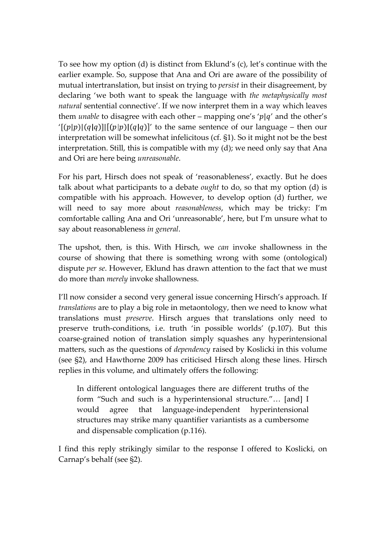To see how my option (d) is distinct from Eklund's (c), let's continue with the earlier example. So, suppose that Ana and Ori are aware of the possibility of mutual intertranslation, but insist on trying to *persist* in their disagreement, by declaring 'we both want to speak the language with *the metaphysically most natural* sentential connective'. If we now interpret them in a way which leaves them *unable* to disagree with each other – mapping one's 'p|q' and the other's '[(p|p)|(q|q)]|[(p|p)|(q|q)]' to the same sentence of our language – then our interpretation will be somewhat infelicitous (cf. §1). So it might not be the best interpretation. Still, this is compatible with my (d); we need only say that Ana and Ori are here being *unreasonable*.

For his part, Hirsch does not speak of 'reasonableness', exactly. But he does talk about what participants to a debate *ought* to do, so that my option (d) is compatible with his approach. However, to develop option (d) further, we will need to say more about *reasonableness*, which may be tricky: I'm comfortable calling Ana and Ori 'unreasonable', here, but I'm unsure what to say about reasonableness *in general*.

The upshot, then, is this. With Hirsch, we *can* invoke shallowness in the course of showing that there is something wrong with some (ontological) dispute *per se*. However, Eklund has drawn attention to the fact that we must do more than *merely* invoke shallowness.

I'll now consider a second very general issue concerning Hirsch's approach. If *translations* are to play a big role in metaontology, then we need to know what translations must *preserve*. Hirsch argues that translations only need to preserve truth-conditions, i.e. truth 'in possible worlds' (p.107). But this coarse-grained notion of translation simply squashes any hyperintensional matters, such as the questions of *dependency* raised by Koslicki in this volume (see §2), and Hawthorne 2009 has criticised Hirsch along these lines. Hirsch replies in this volume, and ultimately offers the following:

In different ontological languages there are different truths of the form "Such and such is a hyperintensional structure."… [and] I would agree that language-independent hyperintensional structures may strike many quantifier variantists as a cumbersome and dispensable complication (p.116).

I find this reply strikingly similar to the response I offered to Koslicki, on Carnap's behalf (see §2).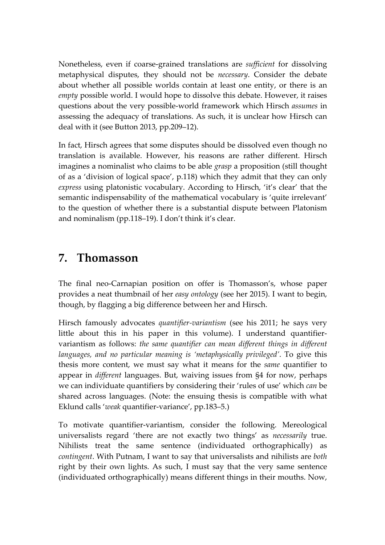Nonetheless, even if coarse-grained translations are *sufficient* for dissolving metaphysical disputes, they should not be *necessary*. Consider the debate about whether all possible worlds contain at least one entity, or there is an *empty* possible world. I would hope to dissolve this debate. However, it raises questions about the very possible-world framework which Hirsch *assumes* in assessing the adequacy of translations. As such, it is unclear how Hirsch can deal with it (see Button 2013, pp.209–12).

In fact, Hirsch agrees that some disputes should be dissolved even though no translation is available. However, his reasons are rather different. Hirsch imagines a nominalist who claims to be able *grasp* a proposition (still thought of as a 'division of logical space', p.118) which they admit that they can only *express* using platonistic vocabulary. According to Hirsch, 'it's clear' that the semantic indispensability of the mathematical vocabulary is 'quite irrelevant' to the question of whether there is a substantial dispute between Platonism and nominalism (pp.118–19). I don't think it's clear.

### **7. Thomasson**

The final neo-Carnapian position on offer is Thomasson's, whose paper provides a neat thumbnail of her *easy ontology* (see her 2015). I want to begin, though, by flagging a big difference between her and Hirsch.

Hirsch famously advocates *quantifier-variantism* (see his 2011; he says very little about this in his paper in this volume). I understand quantifiervariantism as follows: *the same quantifier can mean different things in different languages, and no particular meaning is 'metaphysically privileged'*. To give this thesis more content, we must say what it means for the *same* quantifier to appear in *different* languages. But, waiving issues from §4 for now, perhaps we can individuate quantifiers by considering their 'rules of use' which *can* be shared across languages. (Note: the ensuing thesis is compatible with what Eklund calls '*weak* quantifier-variance', pp.183–5.)

To motivate quantifier-variantism, consider the following. Mereological universalists regard 'there are not exactly two things' as *necessarily* true. Nihilists treat the same sentence (individuated orthographically) as *contingent*. With Putnam, I want to say that universalists and nihilists are *both* right by their own lights. As such, I must say that the very same sentence (individuated orthographically) means different things in their mouths. Now,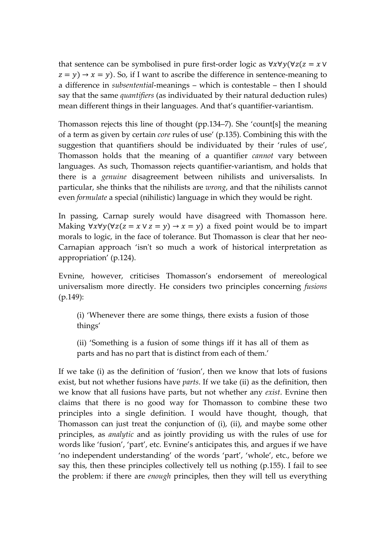that sentence can be symbolised in pure first-order logic as  $\forall x \forall y (\forall z(z = x \vee$  $(z = y) \rightarrow x = y$ ). So, if I want to ascribe the difference in sentence-meaning to a difference in *subsentential*-meanings – which is contestable – then I should say that the same *quantifiers* (as individuated by their natural deduction rules) mean different things in their languages. And that's quantifier-variantism.

Thomasson rejects this line of thought (pp.134–7). She 'count[s] the meaning of a term as given by certain *core* rules of use' (p.135). Combining this with the suggestion that quantifiers should be individuated by their 'rules of use', Thomasson holds that the meaning of a quantifier *cannot* vary between languages. As such, Thomasson rejects quantifier-variantism, and holds that there is a *genuine* disagreement between nihilists and universalists. In particular, she thinks that the nihilists are *wrong*, and that the nihilists cannot even *formulate* a special (nihilistic) language in which they would be right.

In passing, Carnap surely would have disagreed with Thomasson here. Making  $\forall x \forall y (\forall z(z = x \lor z = y) \rightarrow x = y)$  a fixed point would be to impart morals to logic, in the face of tolerance. But Thomasson is clear that her neo-Carnapian approach 'isn't so much a work of historical interpretation as appropriation' (p.124).

Evnine, however, criticises Thomasson's endorsement of mereological universalism more directly. He considers two principles concerning *fusions* (p.149):

(i) 'Whenever there are some things, there exists a fusion of those things'

(ii) 'Something is a fusion of some things iff it has all of them as parts and has no part that is distinct from each of them.'

If we take (i) as the definition of 'fusion', then we know that lots of fusions exist, but not whether fusions have *parts*. If we take (ii) as the definition, then we know that all fusions have parts, but not whether any *exist*. Evnine then claims that there is no good way for Thomasson to combine these two principles into a single definition. I would have thought, though, that Thomasson can just treat the conjunction of (i), (ii), and maybe some other principles, as *analytic* and as jointly providing us with the rules of use for words like 'fusion', 'part', etc. Evnine's anticipates this, and argues if we have 'no independent understanding' of the words 'part', 'whole', etc., before we say this, then these principles collectively tell us nothing (p.155). I fail to see the problem: if there are *enough* principles, then they will tell us everything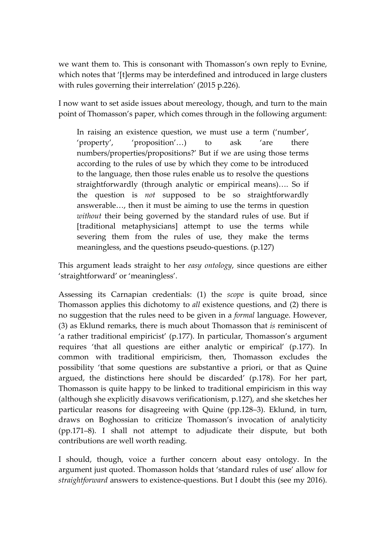we want them to. This is consonant with Thomasson's own reply to Evnine, which notes that '[t]erms may be interdefined and introduced in large clusters with rules governing their interrelation' (2015 p.226).

I now want to set aside issues about mereology, though, and turn to the main point of Thomasson's paper, which comes through in the following argument:

In raising an existence question, we must use a term ('number', 'property', 'proposition'…) to ask 'are there numbers/properties/propositions?' But if we are using those terms according to the rules of use by which they come to be introduced to the language, then those rules enable us to resolve the questions straightforwardly (through analytic or empirical means)…. So if the question is *not* supposed to be so straightforwardly answerable…, then it must be aiming to use the terms in question *without* their being governed by the standard rules of use. But if [traditional metaphysicians] attempt to use the terms while severing them from the rules of use, they make the terms meaningless, and the questions pseudo-questions. (p.127)

This argument leads straight to her *easy ontology*, since questions are either 'straightforward' or 'meaningless'.

Assessing its Carnapian credentials: (1) the *scope* is quite broad, since Thomasson applies this dichotomy to *all* existence questions, and (2) there is no suggestion that the rules need to be given in a *formal* language. However, (3) as Eklund remarks, there is much about Thomasson that *is* reminiscent of 'a rather traditional empiricist' (p.177). In particular, Thomasson's argument requires 'that all questions are either analytic or empirical' (p.177). In common with traditional empiricism, then, Thomasson excludes the possibility 'that some questions are substantive a priori, or that as Quine argued, the distinctions here should be discarded' (p.178). For her part, Thomasson is quite happy to be linked to traditional empiricism in this way (although she explicitly disavows verificationism, p.127), and she sketches her particular reasons for disagreeing with Quine (pp.128–3). Eklund, in turn, draws on Boghossian to criticize Thomasson's invocation of analyticity (pp.171–8). I shall not attempt to adjudicate their dispute, but both contributions are well worth reading.

I should, though, voice a further concern about easy ontology. In the argument just quoted. Thomasson holds that 'standard rules of use' allow for *straightforward* answers to existence-questions. But I doubt this (see my 2016).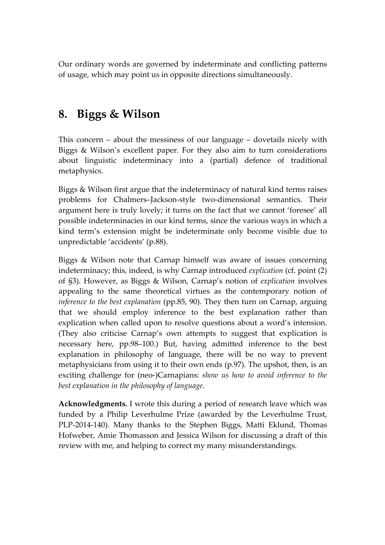Our ordinary words are governed by indeterminate and conflicting patterns of usage, which may point us in opposite directions simultaneously.

## **8. Biggs & Wilson**

This concern – about the messiness of our language – dovetails nicely with Biggs & Wilson's excellent paper. For they also aim to turn considerations about linguistic indeterminacy into a (partial) defence of traditional metaphysics.

Biggs & Wilson first argue that the indeterminacy of natural kind terms raises problems for Chalmers–Jackson-style two-dimensional semantics. Their argument here is truly lovely; it turns on the fact that we cannot 'foresee' all possible indeterminacies in our kind terms, since the various ways in which a kind term's extension might be indeterminate only become visible due to unpredictable 'accidents' (p.88).

Biggs & Wilson note that Carnap himself was aware of issues concerning indeterminacy; this, indeed, is why Carnap introduced *explication* (cf. point (2) of §3). However, as Biggs & Wilson, Carnap's notion of *explication* involves appealing to the same theoretical virtues as the contemporary notion of *inference to the best explanation* (pp.85, 90). They then turn on Carnap, arguing that we should employ inference to the best explanation rather than explication when called upon to resolve questions about a word's intension. (They also criticise Carnap's own attempts to suggest that explication is necessary here, pp.98–100.) But, having admitted inference to the best explanation in philosophy of language, there will be no way to prevent metaphysicians from using it to their own ends (p.97). The upshot, then, is an exciting challenge for (neo-)Carnapians: *show us how to avoid inference to the best explanation in the philosophy of language.*

**Acknowledgments.** I wrote this during a period of research leave which was funded by a Philip Leverhulme Prize (awarded by the Leverhulme Trust, PLP-2014-140). Many thanks to the Stephen Biggs, Matti Eklund, Thomas Hofweber, Amie Thomasson and Jessica Wilson for discussing a draft of this review with me, and helping to correct my many misunderstandings.